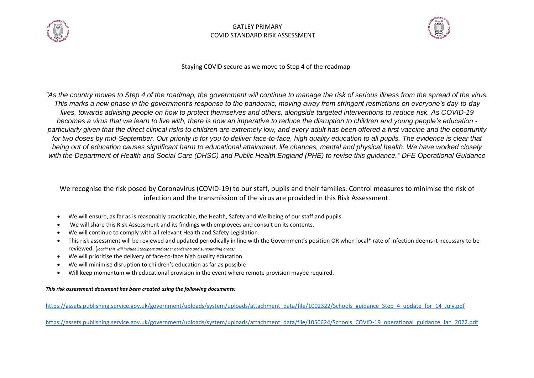



Staying COVID secure as we move to Step 4 of the roadmap-

*"As the country moves to Step 4 of the roadmap, the government will continue to manage the risk of serious illness from the spread of the virus. This marks a new phase in the government's response to the pandemic, moving away from stringent restrictions on everyone's day-to-day lives, towards advising people on how to protect themselves and others, alongside targeted interventions to reduce risk. As COVID-19 becomes a virus that we learn to live with, there is now an imperative to reduce the disruption to children and young people's education particularly given that the direct clinical risks to children are extremely low, and every adult has been offered a first vaccine and the opportunity* for two doses by mid-September. Our priority is for you to deliver face-to-face, high quality education to all pupils. The evidence is clear that *being out of education causes significant harm to educational attainment, life chances, mental and physical health. We have worked closely with the Department of Health and Social Care (DHSC) and Public Health England (PHE) to revise this guidance." DFE Operational Guidance* 

We recognise the risk posed by Coronavirus (COVID-19) to our staff, pupils and their families. Control measures to minimise the risk of infection and the transmission of the virus are provided in this Risk Assessment.

- We will ensure, as far as is reasonably practicable, the Health, Safety and Wellbeing of our staff and pupils.
- We will share this Risk Assessment and its findings with employees and consult on its contents.
- We will continue to comply with all relevant Health and Safety Legislation.
- This risk assessment will be reviewed and updated periodically in line with the Government's position OR when local\* rate of infection deems it necessary to be reviewed. (*local\* this will include Stockport and other bordering and surrounding areas)*
- We will prioritise the delivery of face-to-face high quality education
- We will minimise disruption to children's education as far as possible
- Will keep momentum with educational provision in the event where remote provision maybe required.

#### *This risk assessment document has been created using the following documents:*

[https://assets.publishing.service.gov.uk/government/uploads/system/uploads/attachment\\_data/file/1002322/Schools\\_guidance\\_Step\\_4\\_update\\_for\\_14\\_July.pdf](https://assets.publishing.service.gov.uk/government/uploads/system/uploads/attachment_data/file/1002322/Schools_guidance_Step_4_update_for_14_July.pdf)

https://assets.publishing.service.gov.uk/government/uploads/system/uploads/attachment\_data/file/1050624/Schools\_COVID-19\_operational\_guidance\_Jan\_2022.pdf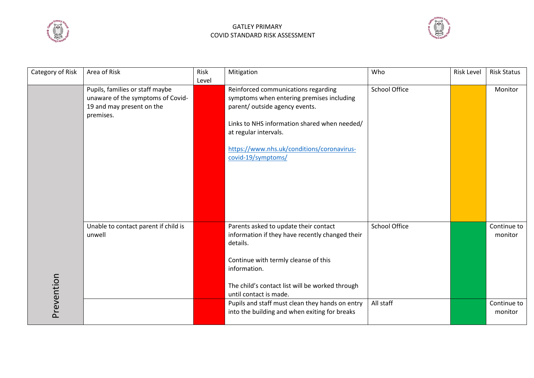



| Category of Risk | Area of Risk                         | Risk  | Mitigation                                      | Who                  | <b>Risk Level</b> | <b>Risk Status</b> |
|------------------|--------------------------------------|-------|-------------------------------------------------|----------------------|-------------------|--------------------|
|                  |                                      | Level |                                                 |                      |                   |                    |
|                  | Pupils, families or staff maybe      |       | Reinforced communications regarding             | <b>School Office</b> |                   | Monitor            |
|                  | unaware of the symptoms of Covid-    |       | symptoms when entering premises including       |                      |                   |                    |
|                  | 19 and may present on the            |       | parent/ outside agency events.                  |                      |                   |                    |
|                  | premises.                            |       |                                                 |                      |                   |                    |
|                  |                                      |       | Links to NHS information shared when needed/    |                      |                   |                    |
|                  |                                      |       | at regular intervals.                           |                      |                   |                    |
|                  |                                      |       |                                                 |                      |                   |                    |
|                  |                                      |       | https://www.nhs.uk/conditions/coronavirus-      |                      |                   |                    |
|                  |                                      |       | covid-19/symptoms/                              |                      |                   |                    |
|                  |                                      |       |                                                 |                      |                   |                    |
|                  |                                      |       |                                                 |                      |                   |                    |
|                  |                                      |       |                                                 |                      |                   |                    |
|                  |                                      |       |                                                 |                      |                   |                    |
|                  |                                      |       |                                                 |                      |                   |                    |
|                  |                                      |       |                                                 |                      |                   |                    |
|                  | Unable to contact parent if child is |       | Parents asked to update their contact           | <b>School Office</b> |                   | Continue to        |
|                  | unwell                               |       | information if they have recently changed their |                      |                   | monitor            |
|                  |                                      |       | details.                                        |                      |                   |                    |
|                  |                                      |       |                                                 |                      |                   |                    |
|                  |                                      |       | Continue with termly cleanse of this            |                      |                   |                    |
|                  |                                      |       | information.                                    |                      |                   |                    |
|                  |                                      |       |                                                 |                      |                   |                    |
|                  |                                      |       | The child's contact list will be worked through |                      |                   |                    |
|                  |                                      |       | until contact is made.                          |                      |                   |                    |
| Prevention       |                                      |       | Pupils and staff must clean they hands on entry | All staff            |                   | Continue to        |
|                  |                                      |       | into the building and when exiting for breaks   |                      |                   | monitor            |
|                  |                                      |       |                                                 |                      |                   |                    |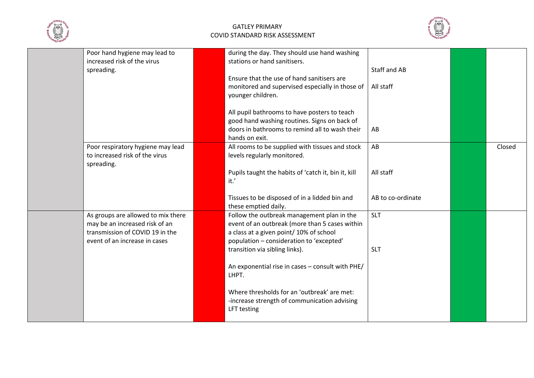



| Poor hand hygiene may lead to<br>increased risk of the virus<br>spreading.                                                               | during the day. They should use hand washing<br>stations or hand sanitisers.<br>Ensure that the use of hand sanitisers are<br>monitored and supervised especially in those of<br>younger children.<br>All pupil bathrooms to have posters to teach<br>good hand washing routines. Signs on back of<br>doors in bathrooms to remind all to wash their<br>hands on exit. | Staff and AB<br>All staff<br>AB      |        |
|------------------------------------------------------------------------------------------------------------------------------------------|------------------------------------------------------------------------------------------------------------------------------------------------------------------------------------------------------------------------------------------------------------------------------------------------------------------------------------------------------------------------|--------------------------------------|--------|
| Poor respiratory hygiene may lead<br>to increased risk of the virus<br>spreading.                                                        | All rooms to be supplied with tissues and stock<br>levels regularly monitored.<br>Pupils taught the habits of 'catch it, bin it, kill<br>it.'<br>Tissues to be disposed of in a lidded bin and                                                                                                                                                                         | AB<br>All staff<br>AB to co-ordinate | Closed |
|                                                                                                                                          | these emptied daily.                                                                                                                                                                                                                                                                                                                                                   |                                      |        |
| As groups are allowed to mix there<br>may be an increased risk of an<br>transmission of COVID 19 in the<br>event of an increase in cases | Follow the outbreak management plan in the<br>event of an outbreak (more than 5 cases within<br>a class at a given point/ 10% of school<br>population - consideration to 'excepted'<br>transition via sibling links).<br>An exponential rise in cases - consult with PHE/                                                                                              | <b>SLT</b><br><b>SLT</b>             |        |
|                                                                                                                                          | LHPT.<br>Where thresholds for an 'outbreak' are met:<br>-increase strength of communication advising<br>LFT testing                                                                                                                                                                                                                                                    |                                      |        |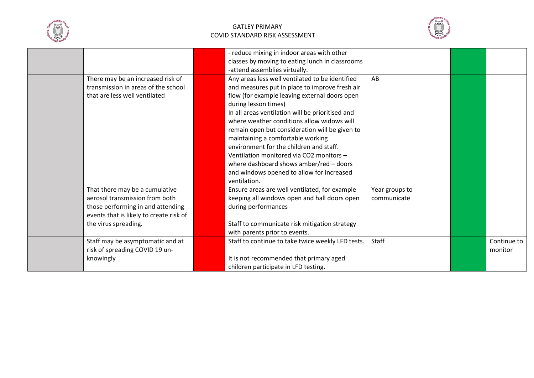



|                                                                                                                                                                          | - reduce mixing in indoor areas with other<br>classes by moving to eating lunch in classrooms                                                                                                                                                                                                                                                                                                                                                                                                                                                                      |                               |                        |
|--------------------------------------------------------------------------------------------------------------------------------------------------------------------------|--------------------------------------------------------------------------------------------------------------------------------------------------------------------------------------------------------------------------------------------------------------------------------------------------------------------------------------------------------------------------------------------------------------------------------------------------------------------------------------------------------------------------------------------------------------------|-------------------------------|------------------------|
|                                                                                                                                                                          | -attend assemblies virtually.                                                                                                                                                                                                                                                                                                                                                                                                                                                                                                                                      |                               |                        |
| There may be an increased risk of<br>transmission in areas of the school<br>that are less well ventilated                                                                | Any areas less well ventilated to be identified<br>and measures put in place to improve fresh air<br>flow (for example leaving external doors open<br>during lesson times)<br>In all areas ventilation will be prioritised and<br>where weather conditions allow widows will<br>remain open but consideration will be given to<br>maintaining a comfortable working<br>environment for the children and staff.<br>Ventilation monitored via CO2 monitors -<br>where dashboard shows amber/red - doors<br>and windows opened to allow for increased<br>ventilation. | AB                            |                        |
| That there may be a cumulative<br>aerosol transmission from both<br>those performing in and attending<br>events that is likely to create risk of<br>the virus spreading. | Ensure areas are well ventilated, for example<br>keeping all windows open and hall doors open<br>during performances<br>Staff to communicate risk mitigation strategy<br>with parents prior to events.                                                                                                                                                                                                                                                                                                                                                             | Year groups to<br>communicate |                        |
| Staff may be asymptomatic and at<br>risk of spreading COVID 19 un-<br>knowingly                                                                                          | Staff to continue to take twice weekly LFD tests.<br>It is not recommended that primary aged<br>children participate in LFD testing.                                                                                                                                                                                                                                                                                                                                                                                                                               | Staff                         | Continue to<br>monitor |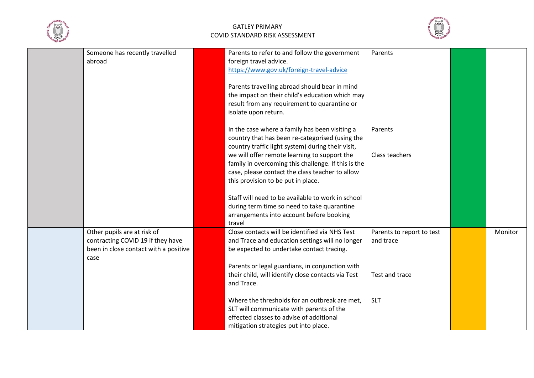



| Someone has recently travelled<br>abroad                                                                          | Parents to refer to and follow the government<br>foreign travel advice.<br>https://www.gov.uk/foreign-travel-advice<br>Parents travelling abroad should bear in mind<br>the impact on their child's education which may<br>result from any requirement to quarantine or<br>isolate upon return.                                                                                                             | Parents                                                  |         |
|-------------------------------------------------------------------------------------------------------------------|-------------------------------------------------------------------------------------------------------------------------------------------------------------------------------------------------------------------------------------------------------------------------------------------------------------------------------------------------------------------------------------------------------------|----------------------------------------------------------|---------|
|                                                                                                                   | In the case where a family has been visiting a<br>country that has been re-categorised (using the<br>country traffic light system) during their visit,<br>we will offer remote learning to support the<br>family in overcoming this challenge. If this is the<br>case, please contact the class teacher to allow<br>this provision to be put in place.<br>Staff will need to be available to work in school | Parents<br>Class teachers                                |         |
|                                                                                                                   | during term time so need to take quarantine<br>arrangements into account before booking<br>travel                                                                                                                                                                                                                                                                                                           |                                                          |         |
| Other pupils are at risk of<br>contracting COVID 19 if they have<br>been in close contact with a positive<br>case | Close contacts will be identified via NHS Test<br>and Trace and education settings will no longer<br>be expected to undertake contact tracing.<br>Parents or legal guardians, in conjunction with<br>their child, will identify close contacts via Test<br>and Trace.                                                                                                                                       | Parents to report to test<br>and trace<br>Test and trace | Monitor |
|                                                                                                                   | Where the thresholds for an outbreak are met.<br>SLT will communicate with parents of the<br>effected classes to advise of additional<br>mitigation strategies put into place.                                                                                                                                                                                                                              | <b>SLT</b>                                               |         |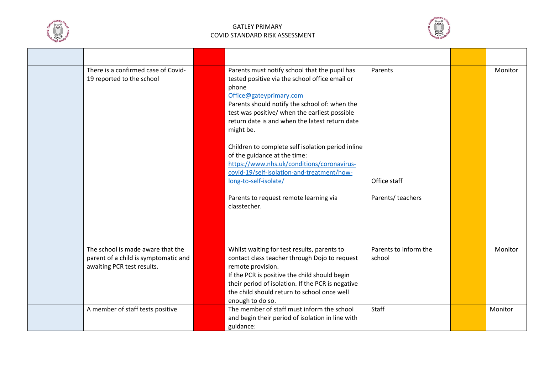



| There is a confirmed case of Covid-<br>19 reported to the school                                        | Parents must notify school that the pupil has<br>tested positive via the school office email or<br>phone<br>Office@gateyprimary.com<br>Parents should notify the school of: when the<br>test was positive/ when the earliest possible<br>return date is and when the latest return date<br>might be. | Parents                         | Monitor |
|---------------------------------------------------------------------------------------------------------|------------------------------------------------------------------------------------------------------------------------------------------------------------------------------------------------------------------------------------------------------------------------------------------------------|---------------------------------|---------|
|                                                                                                         | Children to complete self isolation period inline<br>of the guidance at the time:<br>https://www.nhs.uk/conditions/coronavirus-<br>covid-19/self-isolation-and-treatment/how-<br>long-to-self-isolate/                                                                                               | Office staff                    |         |
|                                                                                                         | Parents to request remote learning via<br>classtecher.                                                                                                                                                                                                                                               | Parents/ teachers               |         |
| The school is made aware that the<br>parent of a child is symptomatic and<br>awaiting PCR test results. | Whilst waiting for test results, parents to<br>contact class teacher through Dojo to request<br>remote provision.<br>If the PCR is positive the child should begin<br>their period of isolation. If the PCR is negative<br>the child should return to school once well<br>enough to do so.           | Parents to inform the<br>school | Monitor |
| A member of staff tests positive                                                                        | The member of staff must inform the school<br>and begin their period of isolation in line with<br>guidance:                                                                                                                                                                                          | Staff                           | Monitor |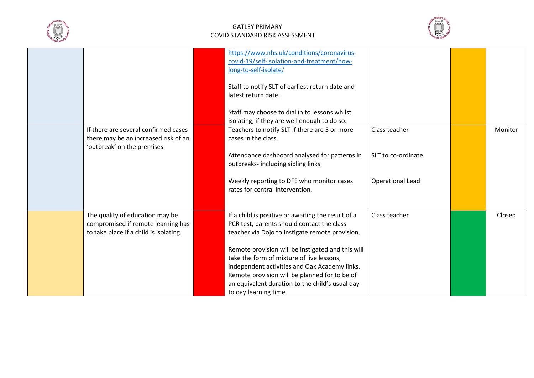



| If there are several confirmed cases                                                                            | https://www.nhs.uk/conditions/coronavirus-<br>covid-19/self-isolation-and-treatment/how-<br>long-to-self-isolate/<br>Staff to notify SLT of earliest return date and<br>latest return date.<br>Staff may choose to dial in to lessons whilst<br>isolating, if they are well enough to do so.<br>Teachers to notify SLT if there are 5 or more                                                                                       | Class teacher                                 | Monitor |
|-----------------------------------------------------------------------------------------------------------------|-------------------------------------------------------------------------------------------------------------------------------------------------------------------------------------------------------------------------------------------------------------------------------------------------------------------------------------------------------------------------------------------------------------------------------------|-----------------------------------------------|---------|
| there may be an increased risk of an<br>'outbreak' on the premises.                                             | cases in the class.<br>Attendance dashboard analysed for patterns in<br>outbreaks- including sibling links.<br>Weekly reporting to DFE who monitor cases<br>rates for central intervention.                                                                                                                                                                                                                                         | SLT to co-ordinate<br><b>Operational Lead</b> |         |
| The quality of education may be<br>compromised if remote learning has<br>to take place if a child is isolating. | If a child is positive or awaiting the result of a<br>PCR test, parents should contact the class<br>teacher via Dojo to instigate remote provision.<br>Remote provision will be instigated and this will<br>take the form of mixture of live lessons,<br>independent activities and Oak Academy links.<br>Remote provision will be planned for to be of<br>an equivalent duration to the child's usual day<br>to day learning time. | Class teacher                                 | Closed  |